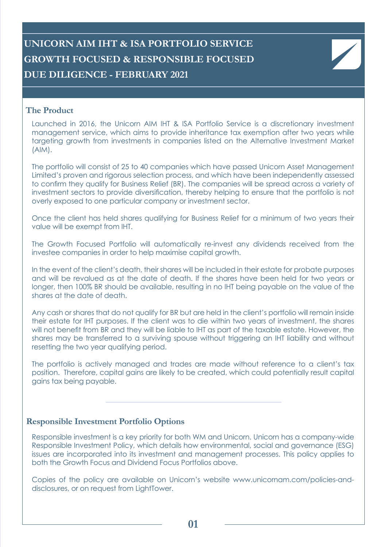# **UNICORN AIM IHT & ISA PORTFOLIO SERVICE GROWTH FOCUSED & RESPONSIBLE FOCUSED DUE DILIGENCE - FEBRUARY 2021**

## **The Product**

Launched in 2016, the Unicorn AIM IHT & ISA Portfolio Service is a discretionary investment management service, which aims to provide inheritance tax exemption after two years while targeting growth from investments in companies listed on the Alternative Investment Market (AIM).

The portfolio will consist of 25 to 40 companies which have passed Unicorn Asset Management Limited's proven and rigorous selection process, and which have been independently assessed to confirm they qualify for Business Relief (BR). The companies will be spread across a variety of investment sectors to provide diversification, thereby helping to ensure that the portfolio is not overly exposed to one particular company or investment sector.

Once the client has held shares qualifying for Business Relief for a minimum of two years their value will be exempt from IHT.

The Growth Focused Portfolio will automatically re-invest any dividends received from the investee companies in order to help maximise capital growth.

In the event of the client's death, their shares will be included in their estate for probate purposes and will be revalued as at the date of death. If the shares have been held for two years or longer, then 100% BR should be available, resulting in no IHT being payable on the value of the shares at the date of death.

Any cash or shares that do not qualify for BR but are held in the client's portfolio will remain inside their estate for IHT purposes. If the client was to die within two years of investment, the shares will not benefit from BR and they will be liable to IHT as part of the taxable estate. However, the shares may be transferred to a surviving spouse without triggering an IHT liability and without resetting the two year qualifying period.

The portfolio is actively managed and trades are made without reference to a client's tax position. Therefore, capital gains are likely to be created, which could potentially result capital gains tax being payable.

#### **Responsible Investment Portfolio Options**

Responsible investment is a key priority for both WM and Unicorn. Unicorn has a company-wide Responsible Investment Policy, which details how environmental, social and governance (ESG) issues are incorporated into its investment and management processes. This policy applies to both the Growth Focus and Dividend Focus Portfolios above.

Copies of the policy are available on Unicorn's website www.unicornam.com/policies-anddisclosures, or on request from LightTower.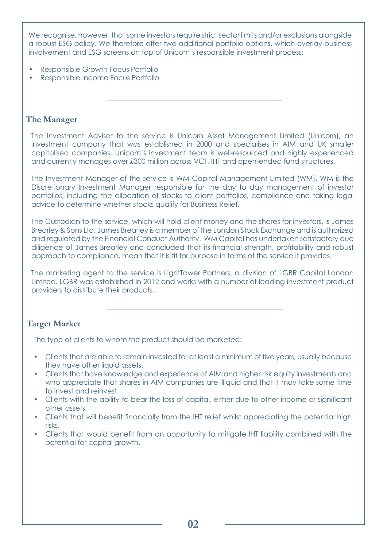We recognise, however, that some investors require strict sector limits and/or exclusions alongside a robust ESG policy. We therefore offer two additional portfolio options, which overlay business involvement and ESG screens on top of Unicorn's responsible investment process:

- Responsible Growth Focus Portfolio
- Responsible Income Focus Portfolio

## **The Manager**

The Investment Adviser to the service is Unicorn Asset Management Limited (Unicorn), an investment company that was established in 2000 and specialises in AIM and UK smaller capitalised companies. Unicorn's investment team is well-resourced and highly experienced and currently manages over £300 million across VCT, IHT and open-ended fund structures.

The Investment Manager of the service is WM Capital Management Limited (WM). WM is the Discretionary Investment Manager responsible for the day to day management of investor portfolios, including the allocation of stocks to client portfolios, compliance and taking legal advice to determine whether stocks qualify for Business Relief.

The Custodian to the service, which will hold client money and the shares for investors, is James Brearley & Sons Ltd. James Brearley is a member of the London Stock Exchange and is authorized and regulated by the Financial Conduct Authority. WM Capital has undertaken satisfactory due diligence of James Brearley and concluded that its financial strength, profitability and robust approach to compliance, mean that it is fit for purpose in terms of the service it provides.

The marketing agent to the service is LightTower Partners, a division of LGBR Capital London Limited. LGBR was established in 2012 and works with a number of leading investment product providers to distribute their products.

## **Target Market**

The type of clients to whom the product should be marketed:

- Clients that are able to remain invested for at least a minimum of five years, usually because they have other liquid assets.
- Clients that have knowledge and experience of AIM and higher risk equity investments and who appreciate that shares in AIM companies are illiquid and that it may take some time to invest and reinvest.
- Clients with the ability to bear the loss of capital, either due to other income or significant other assets.
- Clients that will benefit financially from the IHT relief whilst appreciating the potential high risks.
- Clients that would benefit from an opportunity to mitigate IHT liability combined with the potential for capital growth.